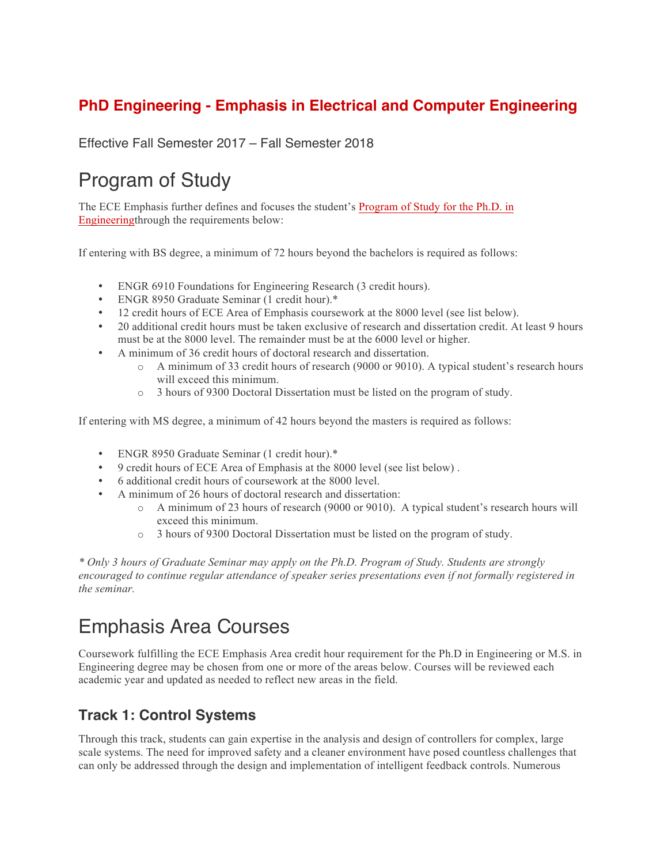### **PhD Engineering - Emphasis in Electrical and Computer Engineering**

Effective Fall Semester 2017 – Fall Semester 2018

# Program of Study

The ECE Emphasis further defines and focuses the student's Program of Study for the Ph.D. in Engineeringthrough the requirements below:

If entering with BS degree, a minimum of 72 hours beyond the bachelors is required as follows:

- ENGR 6910 Foundations for Engineering Research (3 credit hours).
- ENGR 8950 Graduate Seminar (1 credit hour).\*
- 12 credit hours of ECE Area of Emphasis coursework at the 8000 level (see list below).
- 20 additional credit hours must be taken exclusive of research and dissertation credit. At least 9 hours must be at the 8000 level. The remainder must be at the 6000 level or higher.
- A minimum of 36 credit hours of doctoral research and dissertation.
	- o A minimum of 33 credit hours of research (9000 or 9010). A typical student's research hours will exceed this minimum.
	- o 3 hours of 9300 Doctoral Dissertation must be listed on the program of study.

If entering with MS degree, a minimum of 42 hours beyond the masters is required as follows:

- ENGR 8950 Graduate Seminar (1 credit hour).\*
- 9 credit hours of ECE Area of Emphasis at the 8000 level (see list below) .
- 6 additional credit hours of coursework at the 8000 level.
- A minimum of 26 hours of doctoral research and dissertation:
	- o A minimum of 23 hours of research (9000 or 9010). A typical student's research hours will exceed this minimum.
	- o 3 hours of 9300 Doctoral Dissertation must be listed on the program of study.

*\* Only 3 hours of Graduate Seminar may apply on the Ph.D. Program of Study. Students are strongly encouraged to continue regular attendance of speaker series presentations even if not formally registered in the seminar.*

### Emphasis Area Courses

Coursework fulfilling the ECE Emphasis Area credit hour requirement for the Ph.D in Engineering or M.S. in Engineering degree may be chosen from one or more of the areas below. Courses will be reviewed each academic year and updated as needed to reflect new areas in the field.

#### **Track 1: Control Systems**

Through this track, students can gain expertise in the analysis and design of controllers for complex, large scale systems. The need for improved safety and a cleaner environment have posed countless challenges that can only be addressed through the design and implementation of intelligent feedback controls. Numerous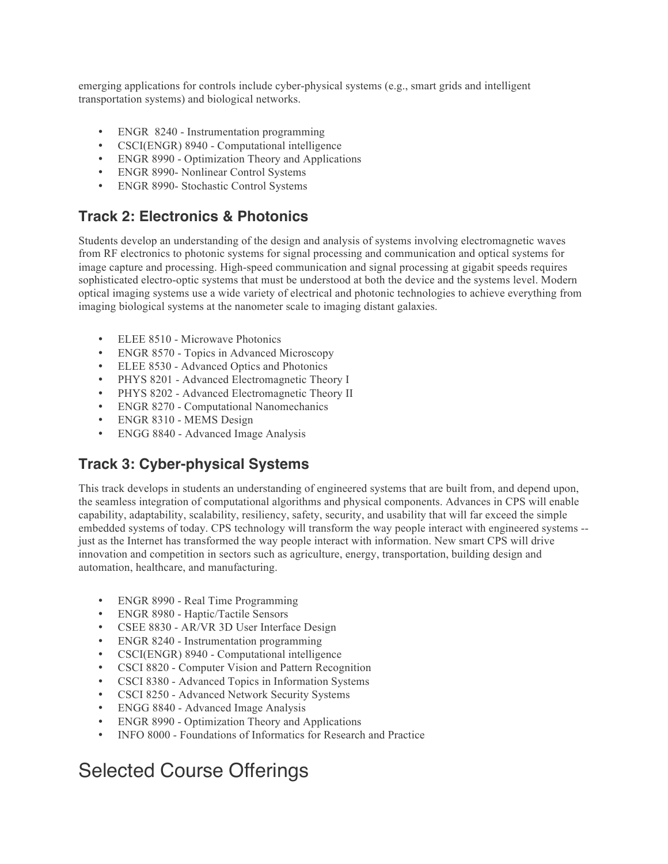emerging applications for controls include cyber-physical systems (e.g., smart grids and intelligent transportation systems) and biological networks.

- ENGR 8240 Instrumentation programming
- CSCI(ENGR) 8940 Computational intelligence
- ENGR 8990 Optimization Theory and Applications
- ENGR 8990- Nonlinear Control Systems
- ENGR 8990- Stochastic Control Systems

#### **Track 2: Electronics & Photonics**

Students develop an understanding of the design and analysis of systems involving electromagnetic waves from RF electronics to photonic systems for signal processing and communication and optical systems for image capture and processing. High-speed communication and signal processing at gigabit speeds requires sophisticated electro-optic systems that must be understood at both the device and the systems level. Modern optical imaging systems use a wide variety of electrical and photonic technologies to achieve everything from imaging biological systems at the nanometer scale to imaging distant galaxies.

- ELEE 8510 Microwave Photonics
- ENGR 8570 Topics in Advanced Microscopy
- ELEE 8530 Advanced Optics and Photonics
- PHYS 8201 Advanced Electromagnetic Theory I
- PHYS 8202 Advanced Electromagnetic Theory II
- ENGR 8270 Computational Nanomechanics
- ENGR 8310 MEMS Design
- ENGG 8840 Advanced Image Analysis

#### **Track 3: Cyber-physical Systems**

This track develops in students an understanding of engineered systems that are built from, and depend upon, the seamless integration of computational algorithms and physical components. Advances in CPS will enable capability, adaptability, scalability, resiliency, safety, security, and usability that will far exceed the simple embedded systems of today. CPS technology will transform the way people interact with engineered systems - just as the Internet has transformed the way people interact with information. New smart CPS will drive innovation and competition in sectors such as agriculture, energy, transportation, building design and automation, healthcare, and manufacturing.

- ENGR 8990 Real Time Programming
- ENGR 8980 Haptic/Tactile Sensors
- CSEE 8830 AR/VR 3D User Interface Design
- ENGR 8240 Instrumentation programming
- CSCI(ENGR) 8940 Computational intelligence
- CSCI 8820 Computer Vision and Pattern Recognition
- CSCI 8380 Advanced Topics in Information Systems
- CSCI 8250 Advanced Network Security Systems
- ENGG 8840 Advanced Image Analysis
- ENGR 8990 Optimization Theory and Applications
- INFO 8000 Foundations of Informatics for Research and Practice

## Selected Course Offerings